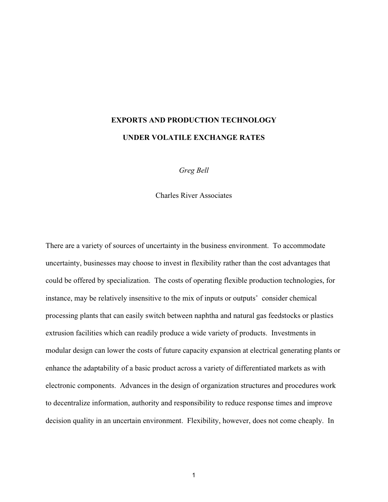# **EXPORTS AND PRODUCTION TECHNOLOGY UNDER VOLATILE EXCHANGE RATES**

*Greg Bell*

Charles River Associates

There are a variety of sources of uncertainty in the business environment. To accommodate uncertainty, businesses may choose to invest in flexibility rather than the cost advantages that could be offered by specialization. The costs of operating flexible production technologies, for instance, may be relatively insensitive to the mix of inputs or outputs˚ consider chemical processing plants that can easily switch between naphtha and natural gas feedstocks or plastics extrusion facilities which can readily produce a wide variety of products. Investments in modular design can lower the costs of future capacity expansion at electrical generating plants or enhance the adaptability of a basic product across a variety of differentiated markets as with electronic components. Advances in the design of organization structures and procedures work to decentralize information, authority and responsibility to reduce response times and improve decision quality in an uncertain environment. Flexibility, however, does not come cheaply. In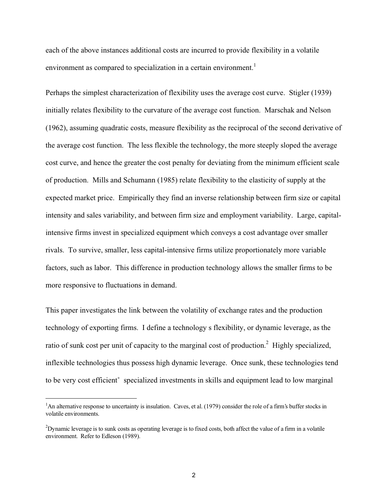each of the above instances additional costs are incurred to provide flexibility in a volatile environment as compared to specialization in a certain environment.<sup>1</sup>

Perhaps the simplest characterization of flexibility uses the average cost curve. Stigler (1939) initially relates flexibility to the curvature of the average cost function. Marschak and Nelson (1962), assuming quadratic costs, measure flexibility as the reciprocal of the second derivative of the average cost function. The less flexible the technology, the more steeply sloped the average cost curve, and hence the greater the cost penalty for deviating from the minimum efficient scale of production. Mills and Schumann (1985) relate flexibility to the elasticity of supply at the expected market price. Empirically they find an inverse relationship between firm size or capital intensity and sales variability, and between firm size and employment variability. Large, capitalintensive firms invest in specialized equipment which conveys a cost advantage over smaller rivals. To survive, smaller, less capital-intensive firms utilize proportionately more variable factors, such as labor. This difference in production technology allows the smaller firms to be more responsive to fluctuations in demand.

This paper investigates the link between the volatility of exchange rates and the production technology of exporting firms. I define a technology s flexibility, or dynamic leverage, as the ratio of sunk cost per unit of capacity to the marginal cost of production.<sup>2</sup> Highly specialized, inflexible technologies thus possess high dynamic leverage. Once sunk, these technologies tend to be very cost efficient˚ specialized investments in skills and equipment lead to low marginal

 $\frac{1}{1}$ <sup>1</sup>An alternative response to uncertainty is insulation. Caves, et al. (1979) consider the role of a firm's buffer stocks in volatile environments.

 $^2$ Dynamic leverage is to sunk costs as operating leverage is to fixed costs, both affect the value of a firm in a volatile environment. Refer to Edleson (1989).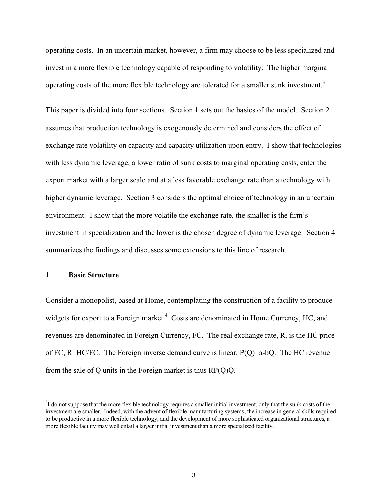operating costs. In an uncertain market, however, a firm may choose to be less specialized and invest in a more flexible technology capable of responding to volatility. The higher marginal operating costs of the more flexible technology are tolerated for a smaller sunk investment.<sup>3</sup>

This paper is divided into four sections. Section 1 sets out the basics of the model. Section 2 assumes that production technology is exogenously determined and considers the effect of exchange rate volatility on capacity and capacity utilization upon entry. I show that technologies with less dynamic leverage, a lower ratio of sunk costs to marginal operating costs, enter the export market with a larger scale and at a less favorable exchange rate than a technology with higher dynamic leverage. Section 3 considers the optimal choice of technology in an uncertain environment. I show that the more volatile the exchange rate, the smaller is the firm's investment in specialization and the lower is the chosen degree of dynamic leverage. Section 4 summarizes the findings and discusses some extensions to this line of research.

## **1 Basic Structure**

Consider a monopolist, based at Home, contemplating the construction of a facility to produce widgets for export to a Foreign market. $4$  Costs are denominated in Home Currency, HC, and revenues are denominated in Foreign Currency, FC. The real exchange rate, R, is the HC price of FC, R=HC/FC. The Foreign inverse demand curve is linear, P(Q)=a-bQ. The HC revenue from the sale of Q units in the Foreign market is thus RP(Q)Q.

 $\frac{1}{3}$ <sup>3</sup>I do not suppose that the more flexible technology requires a smaller initial investment, only that the sunk costs of the investment are smaller. Indeed, with the advent of flexible manufacturing systems, the increase in general skills required to be productive in a more flexible technology, and the development of more sophisticated organizational structures, a more flexible facility may well entail a larger initial investment than a more specialized facility.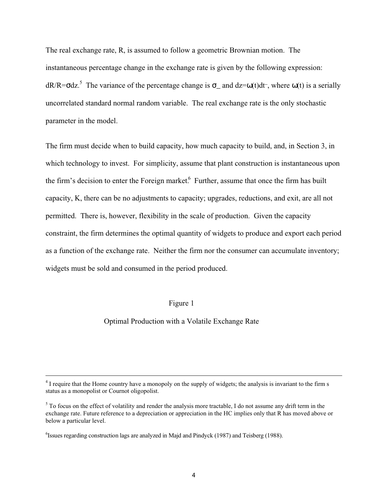The real exchange rate, R, is assumed to follow a geometric Brownian motion. The instantaneous percentage change in the exchange rate is given by the following expression:  $dR/R = \sigma dz$ <sup>5</sup>. The variance of the percentage change is  $\sigma$  and  $dz = \omega(t)dt$ , where  $\omega(t)$  is a serially uncorrelated standard normal random variable. The real exchange rate is the only stochastic parameter in the model.

The firm must decide when to build capacity, how much capacity to build, and, in Section 3, in which technology to invest. For simplicity, assume that plant construction is instantaneous upon the firm's decision to enter the Foreign market. Further, assume that once the firm has built capacity, K, there can be no adjustments to capacity; upgrades, reductions, and exit, are all not permitted. There is, however, flexibility in the scale of production. Given the capacity constraint, the firm determines the optimal quantity of widgets to produce and export each period as a function of the exchange rate. Neither the firm nor the consumer can accumulate inventory; widgets must be sold and consumed in the period produced.

### Figure 1

## Optimal Production with a Volatile Exchange Rate

 $\frac{1}{4}$  $<sup>4</sup>$  I require that the Home country have a monopoly on the supply of widgets; the analysis is invariant to the firm s</sup> status as a monopolist or Cournot oligopolist.

 $5$  To focus on the effect of volatility and render the analysis more tractable, I do not assume any drift term in the exchange rate. Future reference to a depreciation or appreciation in the HC implies only that R has moved above or below a particular level.

 $^6$ Issues regarding construction lags are analyzed in Majd and Pindyck (1987) and Teisberg (1988).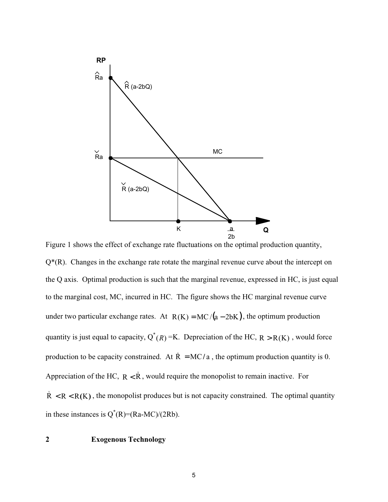

 $Q^*(R)$ . Changes in the exchange rate rotate the marginal revenue curve about the intercept on the Q axis. Optimal production is such that the marginal revenue, expressed in HC, is just equal to the marginal cost, MC, incurred in HC. The figure shows the HC marginal revenue curve under two particular exchange rates. At  $R(K) = MC/(a - 2bK)$ , the optimum production quantity is just equal to capacity,  $Q^*(R) = K$ . Depreciation of the HC,  $R > R(K)$ , would force production to be capacity constrained. At  $\dot{R} = MC/a$ , the optimum production quantity is 0. Appreciation of the HC,  $R < \dot{R}$ , would require the monopolist to remain inactive. For  $\dot{R}$  < R < R(K), the monopolist produces but is not capacity constrained. The optimal quantity in these instances is  $Q^*(R)=(Ra-MC)/(2Rb)$ .

## **2 Exogenous Technology**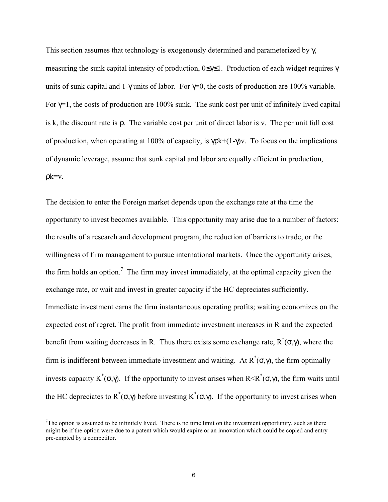This section assumes that technology is exogenously determined and parameterized by  $\gamma$ , measuring the sunk capital intensity of production, 0≤γ≤1. Production of each widget requires γ units of sunk capital and 1-γ units of labor. For  $\gamma=0$ , the costs of production are 100% variable. For  $\gamma$ =1, the costs of production are 100% sunk. The sunk cost per unit of infinitely lived capital is k, the discount rate is ρ. The variable cost per unit of direct labor is v. The per unit full cost of production, when operating at 100% of capacity, is  $\gamma$ pk+(1- $\gamma$ )v. To focus on the implications of dynamic leverage, assume that sunk capital and labor are equally efficient in production,  $\mathsf{pk}=\mathsf{v}$ .

The decision to enter the Foreign market depends upon the exchange rate at the time the opportunity to invest becomes available. This opportunity may arise due to a number of factors: the results of a research and development program, the reduction of barriers to trade, or the willingness of firm management to pursue international markets. Once the opportunity arises, the firm holds an option.<sup>7</sup> The firm may invest immediately, at the optimal capacity given the exchange rate, or wait and invest in greater capacity if the HC depreciates sufficiently. Immediate investment earns the firm instantaneous operating profits; waiting economizes on the expected cost of regret. The profit from immediate investment increases in R and the expected benefit from waiting decreases in R. Thus there exists some exchange rate,  $R^*(\sigma, \gamma)$ , where the firm is indifferent between immediate investment and waiting. At  $R^*(σ, γ)$ , the firm optimally invests capacity K<sup>\*</sup>( $\sigma$ , $\gamma$ ). If the opportunity to invest arises when R<R<sup>\*</sup>( $\sigma$ , $\gamma$ ), the firm waits until the HC depreciates to  $R^*(\sigma,\gamma)$  before investing  $K^*(\sigma,\gamma)$ . If the opportunity to invest arises when

 $\frac{1}{7}$  $T$ The option is assumed to be infinitely lived. There is no time limit on the investment opportunity, such as there might be if the option were due to a patent which would expire or an innovation which could be copied and entry pre-empted by a competitor.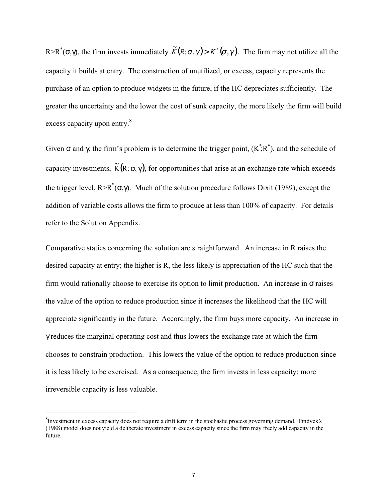R>R<sup>\*</sup>( $\sigma$ , $\gamma$ ), the firm invests immediately  $\widetilde{K}(R;\sigma,\gamma)$  >  $K^*(\sigma,\gamma)$ . The firm may not utilize all the capacity it builds at entry. The construction of unutilized, or excess, capacity represents the purchase of an option to produce widgets in the future, if the HC depreciates sufficiently. The greater the uncertainty and the lower the cost of sunk capacity, the more likely the firm will build excess capacity upon entry.<sup>8</sup>

Given σ and γ, the firm's problem is to determine the trigger point,  $(K^{\dagger};R^*)$ , and the schedule of capacity investments,  $\widetilde{K}(R;\sigma,\gamma)$ , for opportunities that arise at an exchange rate which exceeds the trigger level,  $R > R^*(\sigma, \gamma)$ . Much of the solution procedure follows Dixit (1989), except the addition of variable costs allows the firm to produce at less than 100% of capacity. For details refer to the Solution Appendix.

Comparative statics concerning the solution are straightforward. An increase in R raises the desired capacity at entry; the higher is R, the less likely is appreciation of the HC such that the firm would rationally choose to exercise its option to limit production. An increase in  $\sigma$  raises the value of the option to reduce production since it increases the likelihood that the HC will appreciate significantly in the future. Accordingly, the firm buys more capacity. An increase in γ reduces the marginal operating cost and thus lowers the exchange rate at which the firm chooses to constrain production. This lowers the value of the option to reduce production since it is less likely to be exercised. As a consequence, the firm invests in less capacity; more irreversible capacity is less valuable.

 $\frac{1}{8}$  ${}^8$ Investment in excess capacity does not require a drift term in the stochastic process governing demand. Pindyck's  $(1988)$  model does not yield a deliberate investment in excess capacity since the firm may freely add capacity in the future.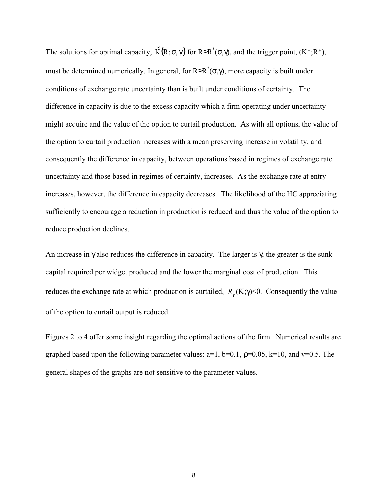The solutions for optimal capacity,  $\widetilde{K}(R;\sigma,\gamma)$  for  $R \geq R^*(\sigma,\gamma)$ , and the trigger point,  $(K^*;R^*)$ , must be determined numerically. In general, for  $R \geq R^*(\sigma, \gamma)$ , more capacity is built under conditions of exchange rate uncertainty than is built under conditions of certainty. The difference in capacity is due to the excess capacity which a firm operating under uncertainty might acquire and the value of the option to curtail production. As with all options, the value of the option to curtail production increases with a mean preserving increase in volatility, and consequently the difference in capacity, between operations based in regimes of exchange rate uncertainty and those based in regimes of certainty, increases. As the exchange rate at entry increases, however, the difference in capacity decreases. The likelihood of the HC appreciating sufficiently to encourage a reduction in production is reduced and thus the value of the option to reduce production declines.

An increase in  $\gamma$  also reduces the difference in capacity. The larger is  $\gamma$ , the greater is the sunk capital required per widget produced and the lower the marginal cost of production. This reduces the exchange rate at which production is curtailed,  $R_{\gamma}$  (K; $\gamma$ )<0. Consequently the value of the option to curtail output is reduced.

Figures 2 to 4 offer some insight regarding the optimal actions of the firm. Numerical results are graphed based upon the following parameter values:  $a=1$ ,  $b=0.1$ ,  $\rho=0.05$ ,  $k=10$ , and  $v=0.5$ . The general shapes of the graphs are not sensitive to the parameter values.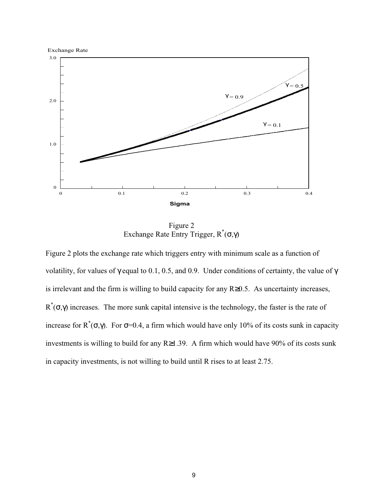

Figure 2 Exchange Rate Entry Trigger,  $R^*(\sigma, \gamma)$ 

Figure 2 plots the exchange rate which triggers entry with minimum scale as a function of volatility, for values of  $\gamma$  equal to 0.1, 0.5, and 0.9. Under conditions of certainty, the value of  $\gamma$ is irrelevant and the firm is willing to build capacity for any R≥0.5. As uncertainty increases,  $R^*(\sigma, \gamma)$  increases. The more sunk capital intensive is the technology, the faster is the rate of increase for R<sup>\*</sup>(σ,γ). For σ=0.4, a firm which would have only 10% of its costs sunk in capacity investments is willing to build for any R≥1.39. A firm which would have 90% of its costs sunk in capacity investments, is not willing to build until R rises to at least 2.75.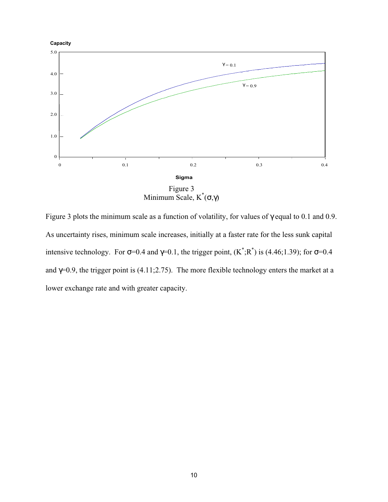

Figure 3 plots the minimum scale as a function of volatility, for values of  $\gamma$  equal to 0.1 and 0.9. As uncertainty rises, minimum scale increases, initially at a faster rate for the less sunk capital intensive technology. For  $\sigma$ =0.4 and  $\gamma$ =0.1, the trigger point,  $(K^*; R^*)$  is (4.46;1.39); for  $\sigma$ =0.4 and  $\gamma$ =0.9, the trigger point is (4.11;2.75). The more flexible technology enters the market at a lower exchange rate and with greater capacity.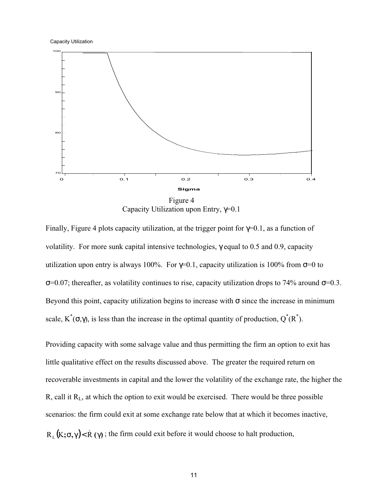

Capacity Utilization upon Entry, γ=0.1

Finally, Figure 4 plots capacity utilization, at the trigger point for  $\gamma=0.1$ , as a function of volatility. For more sunk capital intensive technologies, γ equal to 0.5 and 0.9, capacity utilization upon entry is always 100%. For  $\gamma=0.1$ , capacity utilization is 100% from  $\sigma=0$  to  $σ=0.07$ ; thereafter, as volatility continues to rise, capacity utilization drops to 74% around  $σ=0.3$ . Beyond this point, capacity utilization begins to increase with  $\sigma$  since the increase in minimum scale,  $K^*(\sigma,\gamma)$ , is less than the increase in the optimal quantity of production,  $Q^*(R^*)$ .

Providing capacity with some salvage value and thus permitting the firm an option to exit has little qualitative effect on the results discussed above. The greater the required return on recoverable investments in capital and the lower the volatility of the exchange rate, the higher the R, call it RL, at which the option to exit would be exercised. There would be three possible scenarios: the firm could exit at some exchange rate below that at which it becomes inactive,  $R_{\rm L}(K;\sigma,\gamma)$ <  $\dot{R}(\gamma)$ ; the firm could exit before it would choose to halt production,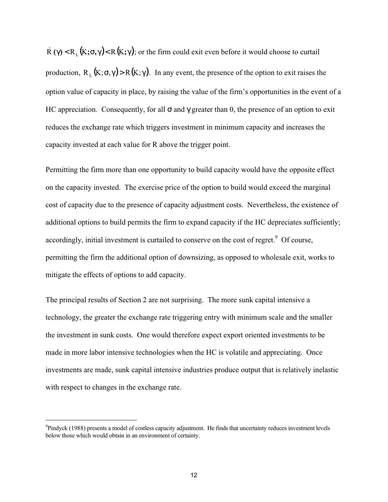$\dot{R}$  (γ) < R<sub>L</sub>(K;σ,γ)< R(K;γ); or the firm could exit even before it would choose to curtail production,  $R_1(K;\sigma,\gamma) > R(K;\gamma)$ . In any event, the presence of the option to exit raises the option value of capacity in place, by raising the value of the firm's opportunities in the event of a HC appreciation. Consequently, for all  $\sigma$  and  $\gamma$  greater than 0, the presence of an option to exit reduces the exchange rate which triggers investment in minimum capacity and increases the capacity invested at each value for R above the trigger point.

Permitting the firm more than one opportunity to build capacity would have the opposite effect on the capacity invested. The exercise price of the option to build would exceed the marginal cost of capacity due to the presence of capacity adjustment costs. Nevertheless, the existence of additional options to build permits the firm to expand capacity if the HC depreciates sufficiently; accordingly, initial investment is curtailed to conserve on the cost of regret.<sup>9</sup> Of course, permitting the firm the additional option of downsizing, as opposed to wholesale exit, works to mitigate the effects of options to add capacity.

The principal results of Section 2 are not surprising. The more sunk capital intensive a technology, the greater the exchange rate triggering entry with minimum scale and the smaller the investment in sunk costs. One would therefore expect export oriented investments to be made in more labor intensive technologies when the HC is volatile and appreciating. Once investments are made, sunk capital intensive industries produce output that is relatively inelastic with respect to changes in the exchange rate.

<sup>-&</sup>lt;br>9  $^9$ Pind yck (1988) presents a model of costless capacity adjustment. He finds that uncertainty reduces investment levels below those which would obtain in an environment of certainty.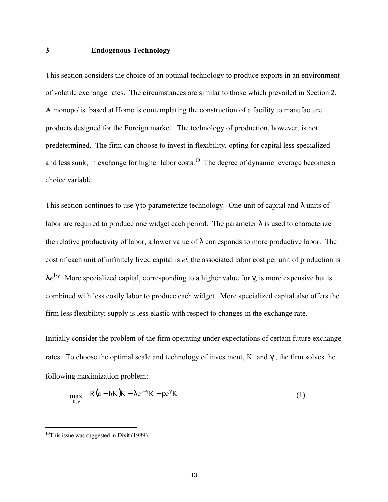### **3 Endogenous Technology**

This section considers the choice of an optimal technology to produce exports in an environment of volatile exchange rates. The circumstances are similar to those which prevailed in Section 2. A monopolist based at Home is contemplating the construction of a facility to manufacture products designed for the Foreign market. The technology of production, however, is not predetermined. The firm can choose to invest in flexibility, opting for capital less specialized and less sunk, in exchange for higher labor costs.<sup>10</sup> The degree of dynamic leverage becomes a choice variable.

This section continues to use  $\gamma$  to parameterize technology. One unit of capital and  $\lambda$  units of labor are required to produce one widget each period. The parameter  $\lambda$  is used to characterize the relative productivity of labor, a lower value of  $\lambda$  corresponds to more productive labor. The cost of each unit of infinitely lived capital is  $e^{\gamma}$ , the associated labor cost per unit of production is  $\lambda e^{1-\gamma}$ . More specialized capital, corresponding to a higher value for γ, is more expensive but is combined with less costly labor to produce each widget. More specialized capital also offers the firm less flexibility; supply is less elastic with respect to changes in the exchange rate.

Initially consider the problem of the firm operating under expectations of certain future exchange rates. To choose the optimal scale and technology of investment,  $\overline{K}$  and  $\overline{\gamma}$ , the firm solves the following maximization problem:

$$
\max_{K,\gamma} R(a-bK)K - \lambda e^{1-\gamma}K - \rho e^{\gamma}K
$$
 (1)

 $10$ This issue was suggested in Dixit (1989).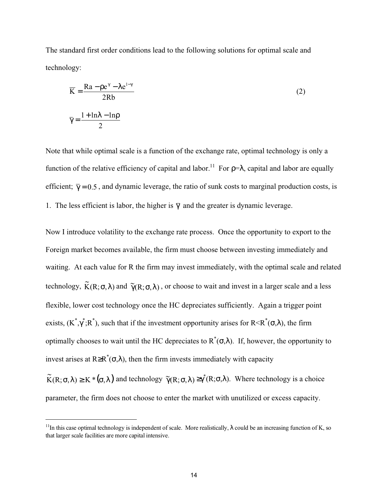The standard first order conditions lead to the following solutions for optimal scale and technology:

$$
\overline{K} = \frac{Ra - \rho e^{\gamma} - \lambda e^{1-\gamma}}{2Rb}
$$
\n
$$
\overline{\gamma} = \frac{1 + \ln \lambda - \ln \rho}{2}
$$
\n(2)

Note that while optimal scale is a function of the exchange rate, optimal technology is only a function of the relative efficiency of capital and labor.<sup>11</sup> For  $\rho = \lambda$ , capital and labor are equally efficient;  $\bar{y} = 0.5$ , and dynamic leverage, the ratio of sunk costs to marginal production costs, is 1. The less efficient is labor, the higher is  $\overline{\gamma}$  and the greater is dynamic leverage.

Now I introduce volatility to the exchange rate process. Once the opportunity to export to the Foreign market becomes available, the firm must choose between investing immediately and waiting. At each value for R the firm may invest immediately, with the optimal scale and related technology,  $\widetilde{K}(R;\sigma,\lambda)$  and  $\widetilde{\gamma}(R;\sigma,\lambda)$  , or choose to wait and invest in a larger scale and a less flexible, lower cost technology once the HC depreciates sufficiently. Again a trigger point exists,  $(K^*, \gamma^*, R^*)$ , such that if the investment opportunity arises for R<R<sup>\*</sup>( $\sigma$ , $\lambda$ ), the firm optimally chooses to wait until the HC depreciates to  $R^*(\sigma,\lambda)$ . If, however, the opportunity to invest arises at R≥R<sup>\*</sup>( $\sigma$ , $\lambda$ ), then the firm invests immediately with capacity

 $\widetilde{K}(R;\sigma,\lambda) \ge K^*(\sigma,\lambda)$  and technology  $\widetilde{\gamma}(R;\sigma,\lambda) \ge \gamma^*(R;\sigma,\lambda)$ . Where technology is a choice parameter, the firm does not choose to enter the market with unutilized or excess capacity.

<sup>&</sup>lt;sup>11</sup>In this case optimal technology is independent of scale. More realistically,  $\lambda$  could be an increasing function of K, so that larger scale facilities are more capital intensive.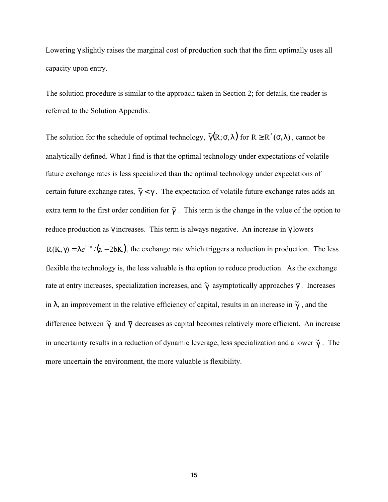Lowering γ slightly raises the marginal cost of production such that the firm optimally uses all capacity upon entry.

The solution procedure is similar to the approach taken in Section 2; for details, the reader is referred to the Solution Appendix.

The solution for the schedule of optimal technology,  $\tilde{\gamma}(R;\sigma,\lambda)$  for  $R \geq R^*(\sigma,\lambda)$ , cannot be analytically defined. What I find is that the optimal technology under expectations of volatile future exchange rates is less specialized than the optimal technology under expectations of certain future exchange rates,  $\tilde{\gamma} < \overline{\gamma}$ . The expectation of volatile future exchange rates adds an extra term to the first order condition for  $\tilde{\gamma}$ . This term is the change in the value of the option to reduce production as γ increases. This term is always negative. An increase in γ lowers  $R(K, \gamma) = \lambda e^{1-\gamma}$  /(a - 2bK), the exchange rate which triggers a reduction in production. The less flexible the technology is, the less valuable is the option to reduce production. As the exchange rate at entry increases, specialization increases, and  $\tilde{\gamma}$  asymptotically approaches  $\bar{\gamma}$ . Increases in  $\lambda$ , an improvement in the relative efficiency of capital, results in an increase in  $\tilde{\gamma}$ , and the difference between  $\tilde{\gamma}$  and  $\bar{\gamma}$  decreases as capital becomes relatively more efficient. An increase in uncertainty results in a reduction of dynamic leverage, less specialization and a lower  $\widetilde{\gamma}$  . The more uncertain the environment, the more valuable is flexibility.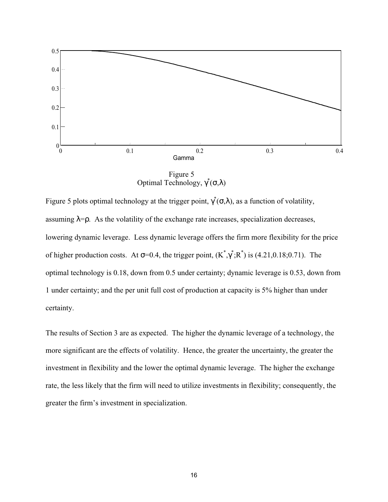

Figure 5 Optimal Technology,  $\gamma^*(σ,λ)$ 

Figure 5 plots optimal technology at the trigger point,  $\gamma^*(\sigma, \lambda)$ , as a function of volatility, assuming  $\lambda = \rho$ . As the volatility of the exchange rate increases, specialization decreases, lowering dynamic leverage. Less dynamic leverage offers the firm more flexibility for the price of higher production costs. At  $\sigma$ =0.4, the trigger point,  $(K^*, \gamma^*; R^*)$  is (4.21,0.18;0.71). The optimal technology is 0.18, down from 0.5 under certainty; dynamic leverage is 0.53, down from 1 under certainty; and the per unit full cost of production at capacity is 5% higher than under certainty.

The results of Section 3 are as expected. The higher the dynamic leverage of a technology, the more significant are the effects of volatility. Hence, the greater the uncertainty, the greater the investment in flexibility and the lower the optimal dynamic leverage. The higher the exchange rate, the less likely that the firm will need to utilize investments in flexibility; consequently, the greater the firm's investment in specialization.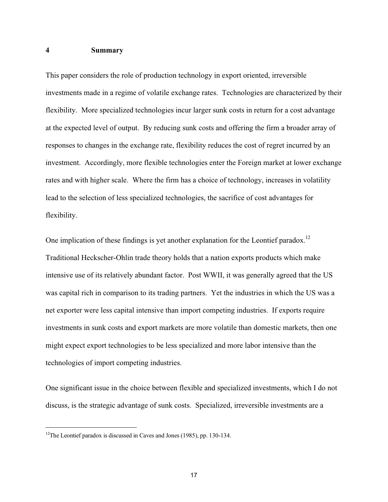## **4 Summary**

This paper considers the role of production technology in export oriented, irreversible investments made in a regime of volatile exchange rates. Technologies are characterized by their flexibility. More specialized technologies incur larger sunk costs in return for a cost advantage at the expected level of output. By reducing sunk costs and offering the firm a broader array of responses to changes in the exchange rate, flexibility reduces the cost of regret incurred by an investment. Accordingly, more flexible technologies enter the Foreign market at lower exchange rates and with higher scale. Where the firm has a choice of technology, increases in volatility lead to the selection of less specialized technologies, the sacrifice of cost advantages for flexibility.

One implication of these findings is yet another explanation for the Leontief paradox.<sup>12</sup> Traditional Heckscher-Ohlin trade theory holds that a nation exports products which make intensive use of its relatively abundant factor. Post WWII, it was generally agreed that the US was capital rich in comparison to its trading partners. Yet the industries in which the US was a net exporter were less capital intensive than import competing industries. If exports require investments in sunk costs and export markets are more volatile than domestic markets, then one might expect export technologies to be less specialized and more labor intensive than the technologies of import competing industries.

One significant issue in the choice between flexible and specialized investments, which I do not discuss, is the strategic advantage of sunk costs. Specialized, irreversible investments are a

17

<sup>&</sup>lt;sup>12</sup>The Leontief paradox is discussed in Caves and Jones (1985), pp. 130-134.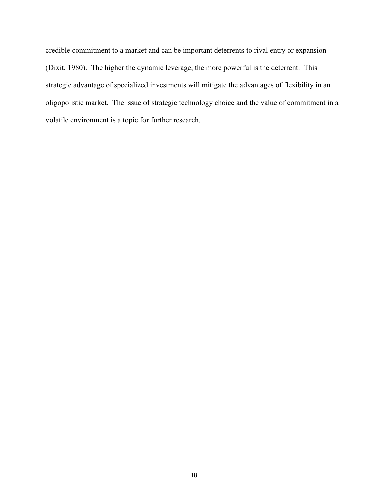credible commitment to a market and can be important deterrents to rival entry or expansion (Dixit, 1980). The higher the dynamic leverage, the more powerful is the deterrent. This strategic advantage of specialized investments will mitigate the advantages of flexibility in an oligopolistic market. The issue of strategic technology choice and the value of commitment in a volatile environment is a topic for further research.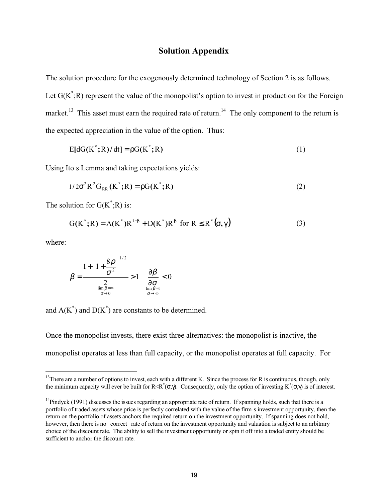## **Solution Appendix**

The solution procedure for the exogenously determined technology of Section 2 is as follows. Let  $G(K^*;R)$  represent the value of the monopolist's option to invest in production for the Foreign market.<sup>13</sup> This asset must earn the required rate of return.<sup>14</sup> The only component to the return is the expected appreciation in the value of the option. Thus:

$$
E[dG(K^*;R)/dt] = \rho G(K^*;R)
$$
\n(1)

Using Ito s Lemma and taking expectations yields:

$$
1/2\sigma^2 R^2 G_{RR}(K^*;R) = \rho G(K^*;R)
$$
 (2)

The solution for  $G(K^*;R)$  is:

$$
G(K^*;R) = A(K^*)R^{1-\beta} + D(K^*)R^{\beta} \text{ for } R \leq R^*(\sigma,\gamma)
$$
 (3)

where:

$$
\beta = \frac{1 + \left[1 + \frac{8\rho}{\sigma^2}\right]^{1/2}}{\sum_{\substack{\lim_{\sigma \to 0}} \beta = \infty \\ \sigma \to 0}} > 1 \quad \frac{\partial \beta}{\partial \sigma} < 0
$$

and  $A(K^*)$  and  $D(K^*)$  are constants to be determined.

Once the monopolist invests, there exist three alternatives: the monopolist is inactive, the monopolist operates at less than full capacity, or the monopolist operates at full capacity. For

 $13$ There are a number of options to invest, each with a different K. Since the process for R is continuous, though, only the minimum capacity will ever be built for R<R\*( $\sigma$ , $\gamma$ ). Consequently, only the option of investing K\*( $\sigma$ , $\gamma$ ) is of interest.

<sup>&</sup>lt;sup>14</sup>Pind yck (1991) discusses the issues regarding an appropriate rate of return. If spanning holds, such that there is a portfolio of traded assets whose price is perfectly correlated with the value of the firm s investment opportunity, then the return on the portfolio of assets anchors the required return on the investment opportunity. If spanning does not hold, however, then there is no correct rate of return on the investment opportunity and valuation is subject to an arbitrary choice of the discount rate. The ability to sell the investment opportunity or spin it off into a traded entity should be sufficient to anchor the discount rate.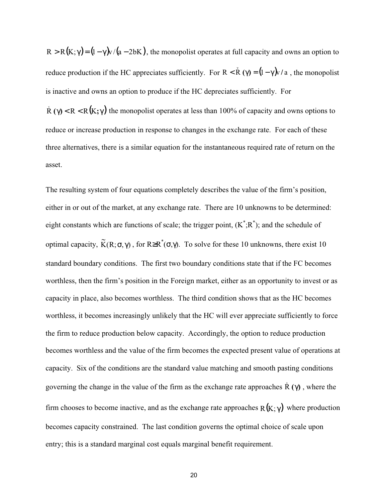$R > R(K; \gamma) = (1 - \gamma)v/(a - 2bK)$ , the monopolist operates at full capacity and owns an option to reduce production if the HC appreciates sufficiently. For R <  $\dot{R}$  ( $\gamma$ ) =  $(1 - \gamma)$  a, the monopolist is inactive and owns an option to produce if the HC depreciates sufficiently. For

 $\dot{R}(\gamma) < R < R(K; \gamma)$  the monopolist operates at less than 100% of capacity and owns options to reduce or increase production in response to changes in the exchange rate. For each of these three alternatives, there is a similar equation for the instantaneous required rate of return on the asset.

The resulting system of four equations completely describes the value of the firm's position, either in or out of the market, at any exchange rate. There are 10 unknowns to be determined: eight constants which are functions of scale; the trigger point,  $(K^*; R^*)$ ; and the schedule of optimal capacity,  $\widetilde{K}(R;\sigma,\gamma)$ , for  $R \geq R^*(\sigma,\gamma)$ . To solve for these 10 unknowns, there exist 10 standard boundary conditions. The first two boundary conditions state that if the FC becomes worthless, then the firm's position in the Foreign market, either as an opportunity to invest or as capacity in place, also becomes worthless. The third condition shows that as the HC becomes worthless, it becomes increasingly unlikely that the HC will ever appreciate sufficiently to force the firm to reduce production below capacity. Accordingly, the option to reduce production becomes worthless and the value of the firm becomes the expected present value of operations at capacity. Six of the conditions are the standard value matching and smooth pasting conditions governing the change in the value of the firm as the exchange rate approaches  $\dot{R}(\gamma)$ , where the firm chooses to become inactive, and as the exchange rate approaches  $R(K; \gamma)$  where production becomes capacity constrained. The last condition governs the optimal choice of scale upon entry; this is a standard marginal cost equals marginal benefit requirement.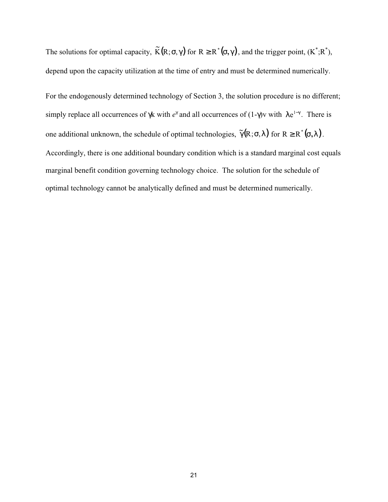The solutions for optimal capacity,  $\widetilde{K}(R;\sigma,\gamma)$  for  $R \geq R^*(\sigma,\gamma)$ , and the trigger point,  $(K^*;R^*)$ , depend upon the capacity utilization at the time of entry and must be determined numerically.

For the endogenously determined technology of Section 3, the solution procedure is no different; simply replace all occurrences of  $\gamma k$  with  $e^{\gamma}$  and all occurrences of (1- $\gamma$ )v with  $\lambda e^{1-\gamma}$ . There is one additional unknown, the schedule of optimal technologies,  $\tilde{\gamma}(R;\sigma,\lambda)$  for  $R \geq R^*(\sigma,\lambda)$ . Accordingly, there is one additional boundary condition which is a standard marginal cost equals marginal benefit condition governing technology choice. The solution for the schedule of optimal technology cannot be analytically defined and must be determined numerically.